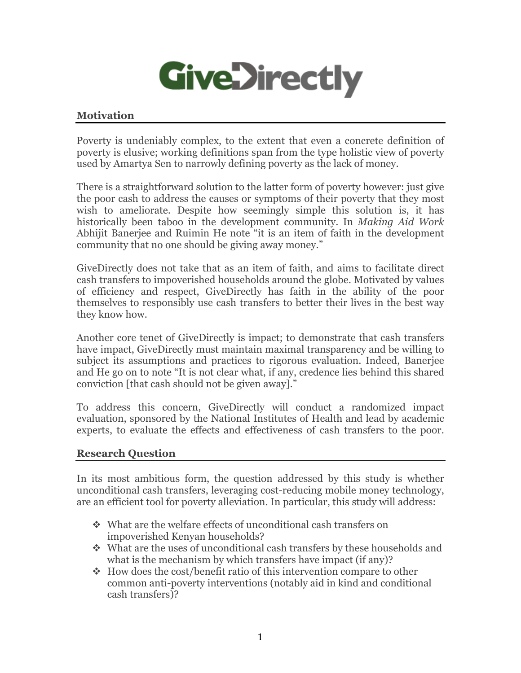

### **Motivation**

Poverty is undeniably complex, to the extent that even a concrete definition of poverty is elusive; working definitions span from the type holistic view of poverty used by Amartya Sen to narrowly defining poverty as the lack of money.

There is a straightforward solution to the latter form of poverty however: just give the poor cash to address the causes or symptoms of their poverty that they most wish to ameliorate. Despite how seemingly simple this solution is, it has historically been taboo in the development community. In *Making Aid Work*  Abhijit Banerjee and Ruimin He note "it is an item of faith in the development community that no one should be giving away money."

GiveDirectly does not take that as an item of faith, and aims to facilitate direct cash transfers to impoverished households around the globe. Motivated by values of efficiency and respect, GiveDirectly has faith in the ability of the poor themselves to responsibly use cash transfers to better their lives in the best way they know how.

Another core tenet of GiveDirectly is impact; to demonstrate that cash transfers have impact, GiveDirectly must maintain maximal transparency and be willing to subject its assumptions and practices to rigorous evaluation. Indeed, Banerjee and He go on to note "It is not clear what, if any, credence lies behind this shared conviction [that cash should not be given away]."

To address this concern, GiveDirectly will conduct a randomized impact evaluation, sponsored by the National Institutes of Health and lead by academic experts, to evaluate the effects and effectiveness of cash transfers to the poor.

#### **Research Question**

In its most ambitious form, the question addressed by this study is whether unconditional cash transfers, leveraging cost-reducing mobile money technology, are an efficient tool for poverty alleviation. In particular, this study will address:

- What are the welfare effects of unconditional cash transfers on impoverished Kenyan households?
- What are the uses of unconditional cash transfers by these households and what is the mechanism by which transfers have impact (if any)?
- $\div$  How does the cost/benefit ratio of this intervention compare to other common anti-poverty interventions (notably aid in kind and conditional cash transfers)?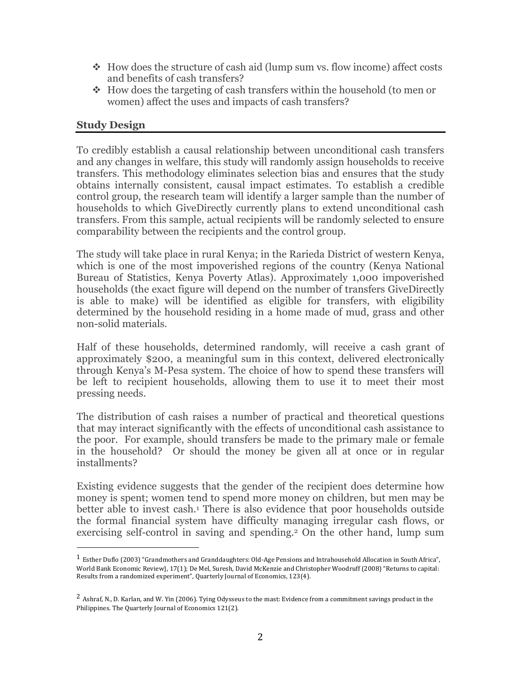- $\cdot$  How does the structure of cash aid (lump sum vs. flow income) affect costs and benefits of cash transfers?
- $\div$  How does the targeting of cash transfers within the household (to men or women) affect the uses and impacts of cash transfers?

### **Study Design**

To credibly establish a causal relationship between unconditional cash transfers and any changes in welfare, this study will randomly assign households to receive transfers. This methodology eliminates selection bias and ensures that the study obtains internally consistent, causal impact estimates. To establish a credible control group, the research team will identify a larger sample than the number of households to which GiveDirectly currently plans to extend unconditional cash transfers. From this sample, actual recipients will be randomly selected to ensure comparability between the recipients and the control group.

The study will take place in rural Kenya; in the Rarieda District of western Kenya, which is one of the most impoverished regions of the country (Kenya National Bureau of Statistics, Kenya Poverty Atlas). Approximately 1,000 impoverished households (the exact figure will depend on the number of transfers GiveDirectly is able to make) will be identified as eligible for transfers, with eligibility determined by the household residing in a home made of mud, grass and other non-solid materials.

Half of these households, determined randomly, will receive a cash grant of approximately \$200, a meaningful sum in this context, delivered electronically through Kenya's M-Pesa system. The choice of how to spend these transfers will be left to recipient households, allowing them to use it to meet their most pressing needs.

The distribution of cash raises a number of practical and theoretical questions that may interact significantly with the effects of unconditional cash assistance to the poor. For example, should transfers be made to the primary male or female in the household? Or should the money be given all at once or in regular installments?

Existing evidence suggests that the gender of the recipient does determine how money is spent; women tend to spend more money on children, but men may be better able to invest cash.<sup>1</sup> There is also evidence that poor households outside the formal financial system have difficulty managing irregular cash flows, or exercising self-control in saving and spending.2 On the other hand, lump sum

<sup>&</sup>lt;sup>1</sup> Esther Duflo (2003) "Grandmothers and Granddaughters: Old-Age Pensions and Intrahousehold Allocation in South Africa", World Bank Economic Review}, 17(1); De Mel, Suresh, David McKenzie and Christopher Woodruff (2008) "Returns to capital: Results from a randomized experiment", Quarterly Journal of Economics, 123(4).

 $^2$  Ashraf, N., D. Karlan, and W. Yin (2006). Tying Odysseus to the mast: Evidence from a commitment savings product in the Philippines. The Quarterly Journal of Economics 121(2).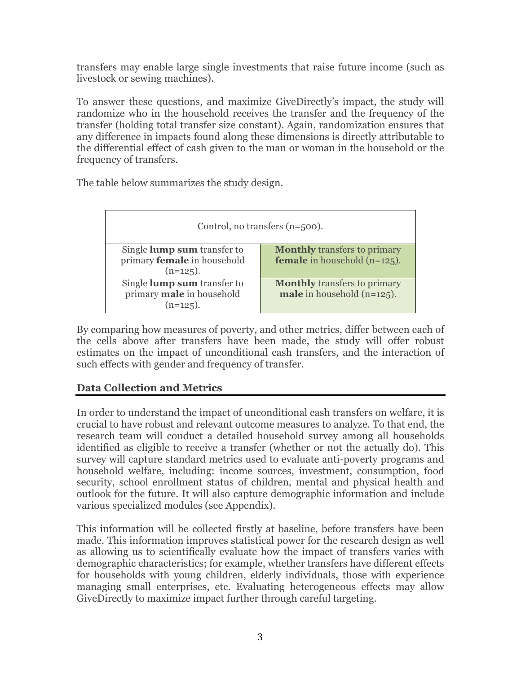transfers may enable large single investments that raise future income (such as livestock or sewing machines).

To answer these questions, and maximize GiveDirectly's impact, the study will randomize who in the household receives the transfer and the frequency of the transfer (holding total transfer size constant). Again, randomization ensures that any difference in impacts found along these dimensions is directly attributable to the differential effect of cash given to the man or woman in the household or the frequency of transfers.

The table below summarizes the study design.

| Control, no transfers $(n=500)$ .                                                |                                                                               |
|----------------------------------------------------------------------------------|-------------------------------------------------------------------------------|
| Single <b>lump sum</b> transfer to<br>primary female in household<br>$(n=125)$ . | <b>Monthly transfers to primary</b><br><b>female</b> in household $(n=125)$ . |
| Single lump sum transfer to<br>primary male in household<br>$(n=125)$ .          | <b>Monthly transfers to primary</b><br><b>male</b> in household $(n=125)$ .   |

By comparing how measures of poverty, and other metrics, differ between each of the cells above after transfers have been made, the study will offer robust estimates on the impact of unconditional cash transfers, and the interaction of such effects with gender and frequency of transfer.

# **Data Collection and Metrics**

In order to understand the impact of unconditional cash transfers on welfare, it is crucial to have robust and relevant outcome measures to analyze. To that end, the research team will conduct a detailed household survey among all households identified as eligible to receive a transfer (whether or not the actually do). This survey will capture standard metrics used to evaluate anti-poverty programs and household welfare, including: income sources, investment, consumption, food security, school enrollment status of children, mental and physical health and outlook for the future. It will also capture demographic information and include various specialized modules (see Appendix).

This information will be collected firstly at baseline, before transfers have been made. This information improves statistical power for the research design as well as allowing us to scientifically evaluate how the impact of transfers varies with demographic characteristics; for example, whether transfers have different effects for households with young children, elderly individuals, those with experience managing small enterprises, etc. Evaluating heterogeneous effects may allow GiveDirectly to maximize impact further through careful targeting.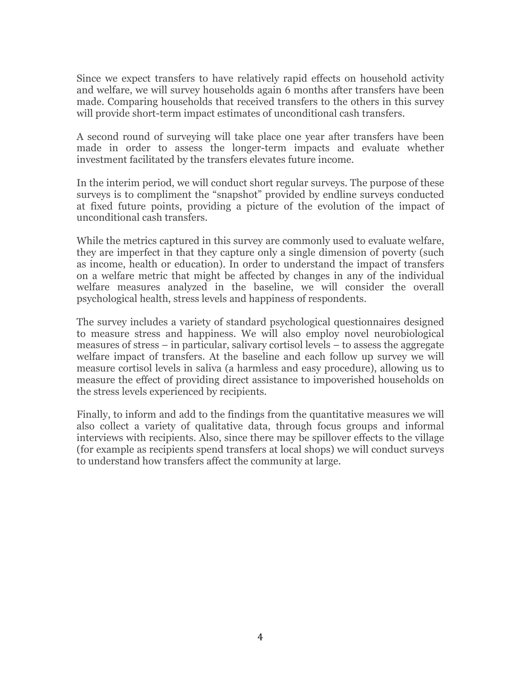Since we expect transfers to have relatively rapid effects on household activity and welfare, we will survey households again 6 months after transfers have been made. Comparing households that received transfers to the others in this survey will provide short-term impact estimates of unconditional cash transfers.

A second round of surveying will take place one year after transfers have been made in order to assess the longer-term impacts and evaluate whether investment facilitated by the transfers elevates future income.

In the interim period, we will conduct short regular surveys. The purpose of these surveys is to compliment the "snapshot" provided by endline surveys conducted at fixed future points, providing a picture of the evolution of the impact of unconditional cash transfers.

While the metrics captured in this survey are commonly used to evaluate welfare, they are imperfect in that they capture only a single dimension of poverty (such as income, health or education). In order to understand the impact of transfers on a welfare metric that might be affected by changes in any of the individual welfare measures analyzed in the baseline, we will consider the overall psychological health, stress levels and happiness of respondents.

The survey includes a variety of standard psychological questionnaires designed to measure stress and happiness. We will also employ novel neurobiological measures of stress – in particular, salivary cortisol levels – to assess the aggregate welfare impact of transfers. At the baseline and each follow up survey we will measure cortisol levels in saliva (a harmless and easy procedure), allowing us to measure the effect of providing direct assistance to impoverished households on the stress levels experienced by recipients.

Finally, to inform and add to the findings from the quantitative measures we will also collect a variety of qualitative data, through focus groups and informal interviews with recipients. Also, since there may be spillover effects to the village (for example as recipients spend transfers at local shops) we will conduct surveys to understand how transfers affect the community at large.